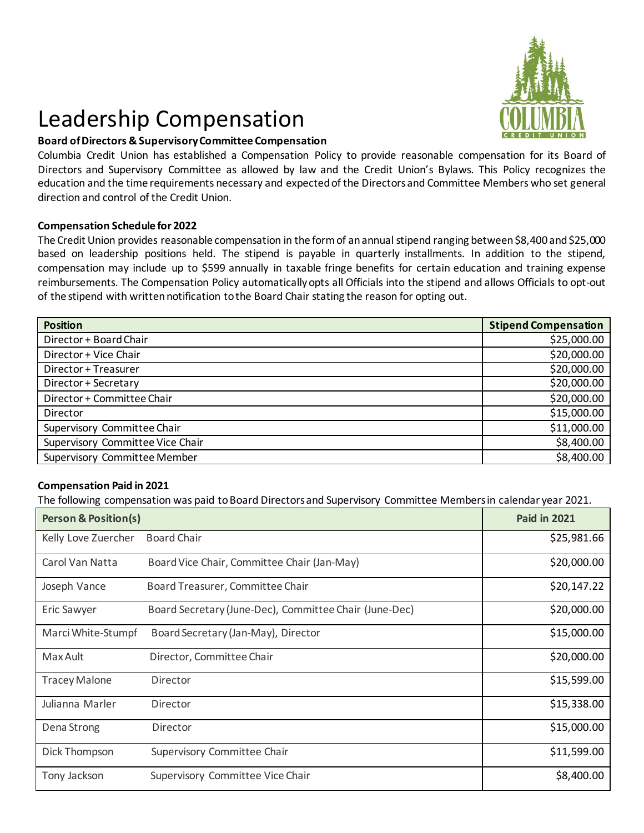## Leadership Compensation



## **Board of Directors & Supervisory Committee Compensation**

Columbia Credit Union has established a Compensation Policy to provide reasonable compensation for its Board of Directors and Supervisory Committee as allowed by law and the Credit Union's Bylaws. This Policy recognizes the education and the time requirements necessary and expected of the Directors and Committee Members who set general direction and control of the Credit Union.

## **Compensation Schedule for 2022**

The Credit Union provides reasonable compensation in the form of an annual stipend ranging between \$8,400 and \$25,000 based on leadership positions held. The stipend is payable in quarterly installments. In addition to the stipend, compensation may include up to \$599 annually in taxable fringe benefits for certain education and training expense reimbursements. The Compensation Policy automatically opts all Officials into the stipend and allows Officials to opt-out of the stipend with written notification to the Board Chair stating the reason for opting out.

| <b>Position</b>                  | <b>Stipend Compensation</b> |
|----------------------------------|-----------------------------|
| Director + Board Chair           | \$25,000.00                 |
| Director + Vice Chair            | \$20,000.00                 |
| Director + Treasurer             | \$20,000.00                 |
| Director + Secretary             | \$20,000.00                 |
| Director + Committee Chair       | \$20,000.00                 |
| Director                         | \$15,000.00                 |
| Supervisory Committee Chair      | \$11,000.00                 |
| Supervisory Committee Vice Chair | \$8,400.00                  |
| Supervisory Committee Member     | \$8,400.00                  |

## **Compensation Paid in 2021**

The following compensation was paid to Board Directors and Supervisory Committee Members in calendar year 2021.

| <b>Person &amp; Position(s)</b> |                                                        | <b>Paid in 2021</b> |
|---------------------------------|--------------------------------------------------------|---------------------|
| Kelly Love Zuercher             | <b>Board Chair</b>                                     | \$25,981.66         |
| Carol Van Natta                 | Board Vice Chair, Committee Chair (Jan-May)            | \$20,000.00         |
| Joseph Vance                    | Board Treasurer, Committee Chair                       | \$20,147.22         |
| Eric Sawyer                     | Board Secretary (June-Dec), Committee Chair (June-Dec) | \$20,000.00         |
| Marci White-Stumpf              | Board Secretary (Jan-May), Director                    | \$15,000.00         |
| Max Ault                        | Director, Committee Chair                              | \$20,000.00         |
| <b>Tracey Malone</b>            | Director                                               | \$15,599.00         |
| Julianna Marler                 | Director                                               | \$15,338.00         |
| Dena Strong                     | Director                                               | \$15,000.00         |
| Dick Thompson                   | Supervisory Committee Chair                            | \$11,599.00         |
| Tony Jackson                    | Supervisory Committee Vice Chair                       | \$8,400.00          |